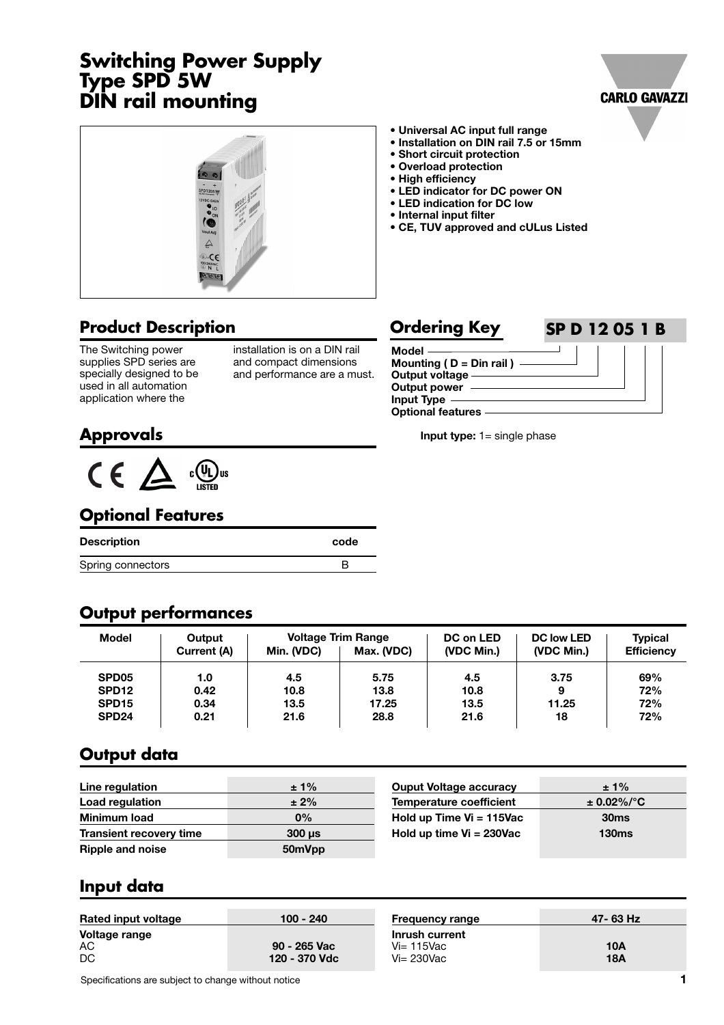# **Switching Power Supply Type SPD 5W DIN rail mounting**





#### **Product Description**

The Switching power supplies SPD series are specially designed to be used in all automation application where the

installation is on a DIN rail and compact dimensions and performance are a must.

- **Universal AC input full range**
- **Installation on DIN rail 7.5 or 15mm**
- **Short circuit protection**
- **Overload protection**
- **High efficiency**
- **LED indicator for DC power ON**
- **LED indication for DC low • Internal input filter**
- **CE, TUV approved and cULus Listed**

#### **Model Mounting ( D = Din rail ) Output voltage Output power Input Type Optional features Ordering Key SP D 12 05 1 B**

**Input type:** 1= single phase

**Approvals**



#### **Optional Features**

| Description       | code |
|-------------------|------|
| Spring connectors |      |

#### **Output performances**

| <b>Model</b>      | Output<br>Current (A) | Min. (VDC) | <b>Voltage Trim Range</b><br>Max. (VDC) | DC on LED<br>(VDC Min.) | <b>DC low LED</b><br>(VDC Min.) | <b>Typical</b><br><b>Efficiency</b> |
|-------------------|-----------------------|------------|-----------------------------------------|-------------------------|---------------------------------|-------------------------------------|
| SPD <sub>05</sub> | 1.0                   | 4.5        | 5.75                                    | 4.5                     | 3.75                            | 69%                                 |
| SPD <sub>12</sub> | 0.42                  | 10.8       | 13.8                                    | 10.8                    | 9                               | 72%                                 |
| SPD <sub>15</sub> | 0.34                  | 13.5       | 17.25                                   | 13.5                    | 11.25                           | 72%                                 |
| SPD <sub>24</sub> | 0.21                  | 21.6       | 28.8                                    | 21.6                    | 18                              | 72%                                 |

#### **Output data**

| Line regulation                | $±1\%$                    | <b>Ouput Voltage accuracy</b>  | $± 1\%$          |
|--------------------------------|---------------------------|--------------------------------|------------------|
| Load regulation                | $± 2\%$                   | <b>Temperature coefficient</b> | $\pm$ 0.02%/°C   |
| <b>Minimum load</b>            | 0%                        | Hold up Time $Vi = 115$ Vac    | 30 <sub>ms</sub> |
| <b>Transient recovery time</b> | $300 \text{ }\mu\text{s}$ | Hold up time $Vi = 230Vac$     | <b>130ms</b>     |
| <b>Ripple and noise</b>        | 50mVpp                    |                                |                  |

#### **Input data**

| Rated input voltage       | 100 - 240                     | <b>Frequency range</b>                           | 47-63 Hz          |
|---------------------------|-------------------------------|--------------------------------------------------|-------------------|
| Voltage range<br>АC<br>DC | 90 - 265 Vac<br>120 - 370 Vdc | Inrush current<br>$Vi=115$ Vac<br>$Vi = 230$ Vac | 10A<br><b>18A</b> |

Specifications are subject to change without notice **1 1**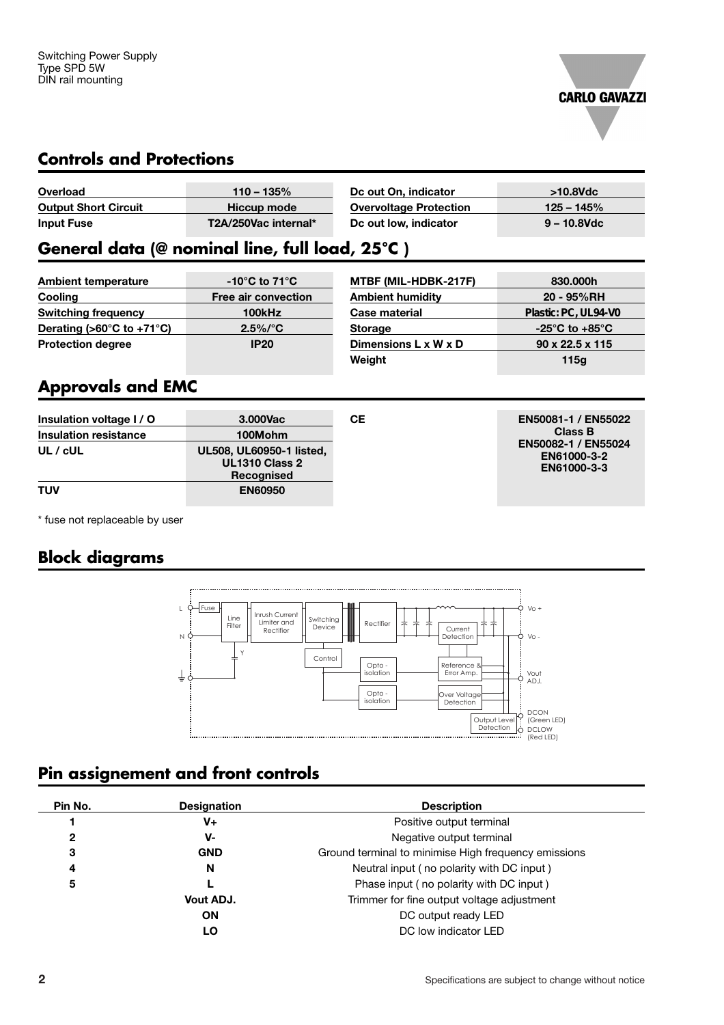

#### **Controls and Protections**

| Overload                    | $110 - 135\%$        | Dc out On. indicator          | $>10.8$ Vdc    |
|-----------------------------|----------------------|-------------------------------|----------------|
| <b>Output Short Circuit</b> | Hiccup mode          | <b>Overvoltage Protection</b> | $125 - 145%$   |
| <b>Input Fuse</b>           | T2A/250Vac internal* | Dc out low, indicator         | $9 - 10.8$ Vdc |

# **General data (@ nominal line, full load, 25°C )**

| <b>Ambient temperature</b>                      | $-10^{\circ}$ C to 71 $^{\circ}$ C |
|-------------------------------------------------|------------------------------------|
| Cooling                                         | <b>Free air convection</b>         |
| <b>Switching frequency</b>                      | 100kHz                             |
| Derating ( $>60^{\circ}$ C to +71 $^{\circ}$ C) | $2.5\%/°C$                         |
| <b>Protection degree</b>                        | <b>IP20</b>                        |

| MTBF (MIL-HDBK-217F)    | 830.000h                           |
|-------------------------|------------------------------------|
| <b>Ambient humidity</b> | 20 - 95%RH                         |
| Case material           | Plastic: PC, UL94-V0               |
| <b>Storage</b>          | $-25^{\circ}$ C to $+85^{\circ}$ C |
| Dimensions L x W x D    | $90 \times 22.5 \times 115$        |
| Weight                  | 115g                               |
|                         |                                    |

# **Approvals and EMC**

| Insulation voltage I / O<br><b>Insulation resistance</b> | 3.000Vac<br>100Mohm                                             | CЕ | EN50081-1 / EN55022<br><b>Class B</b>             |
|----------------------------------------------------------|-----------------------------------------------------------------|----|---------------------------------------------------|
| UL / cUL                                                 | UL508, UL60950-1 listed,<br><b>UL1310 Class 2</b><br>Recognised |    | EN50082-1 / EN55024<br>EN61000-3-2<br>EN61000-3-3 |
| TUV                                                      | <b>EN60950</b>                                                  |    |                                                   |

\* fuse not replaceable by user

# **Block diagrams**

L Ċ  $-$ Fuse Vo + Line Inrush Current Limiter and Rectifier Switching Switching | | | Rectifier<br>Device | | | Rectifier Filter Current Detection N Ô  $V<sub>O</sub>$ Y Control Opto - isolation Reference & Error Amp. ⊥ Vout<br>ADJ. Ò Opto - isolation Over Voltage Detection DCON (Green LED) DCLOW (Red LED)  $\dot{\circ}$ Output Level Detection ķ

# **Pin assignement and front controls**

| Pin No. | <b>Designation</b> | <b>Description</b>                                   |
|---------|--------------------|------------------------------------------------------|
|         | V+                 | Positive output terminal                             |
| 2       | v-                 | Negative output terminal                             |
| 3       | <b>GND</b>         | Ground terminal to minimise High frequency emissions |
| 4       | N                  | Neutral input (no polarity with DC input)            |
| 5       |                    | Phase input (no polarity with DC input)              |
|         | Vout ADJ.          | Trimmer for fine output voltage adjustment           |
|         | <b>ON</b>          | DC output ready LED                                  |
|         | LO                 | DC low indicator LED                                 |